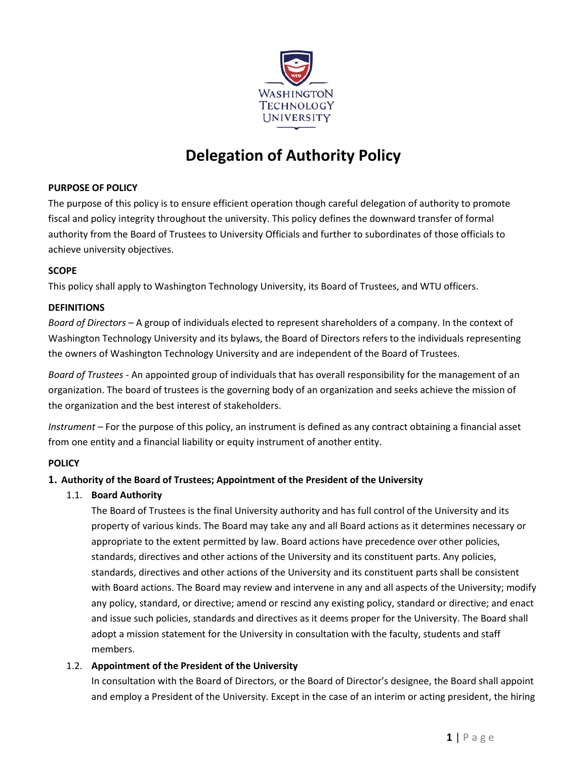

# **Delegation of Authority Policy**

## **PURPOSE OF POLICY**

The purpose of this policy is to ensure efficient operation though careful delegation of authority to promote fiscal and policy integrity throughout the university. This policy defines the downward transfer of formal authority from the Board of Trustees to University Officials and further to subordinates of those officials to achieve university objectives.

## **SCOPE**

This policy shall apply to Washington Technology University, its Board of Trustees, and WTU officers.

# **DEFINITIONS**

*Board of Directors* – A group of individuals elected to represent shareholders of a company. In the context of Washington Technology University and its bylaws, the Board of Directors refers to the individuals representing the owners of Washington Technology University and are independent of the Board of Trustees.

*Board of Trustees* - An appointed group of individuals that has overall responsibility for the management of an organization. The board of trustees is the governing body of an organization and seeks achieve the mission of the organization and the best interest of stakeholders.

*Instrument* – For the purpose of this policy, an instrument is defined as any contract obtaining a financial asset from one entity and a financial liability or equity instrument of another entity.

# **POLICY**

## **1. Authority of the Board of Trustees; Appointment of the President of the University**

1.1. **Board Authority**

The Board of Trustees is the final University authority and has full control of the University and its property of various kinds. The Board may take any and all Board actions as it determines necessary or appropriate to the extent permitted by law. Board actions have precedence over other policies, standards, directives and other actions of the University and its constituent parts. Any policies, standards, directives and other actions of the University and its constituent parts shall be consistent with Board actions. The Board may review and intervene in any and all aspects of the University; modify any policy, standard, or directive; amend or rescind any existing policy, standard or directive; and enact and issue such policies, standards and directives as it deems proper for the University. The Board shall adopt a mission statement for the University in consultation with the faculty, students and staff members.

## 1.2. **Appointment of the President of the University**

In consultation with the Board of Directors, or the Board of Director's designee, the Board shall appoint and employ a President of the University. Except in the case of an interim or acting president, the hiring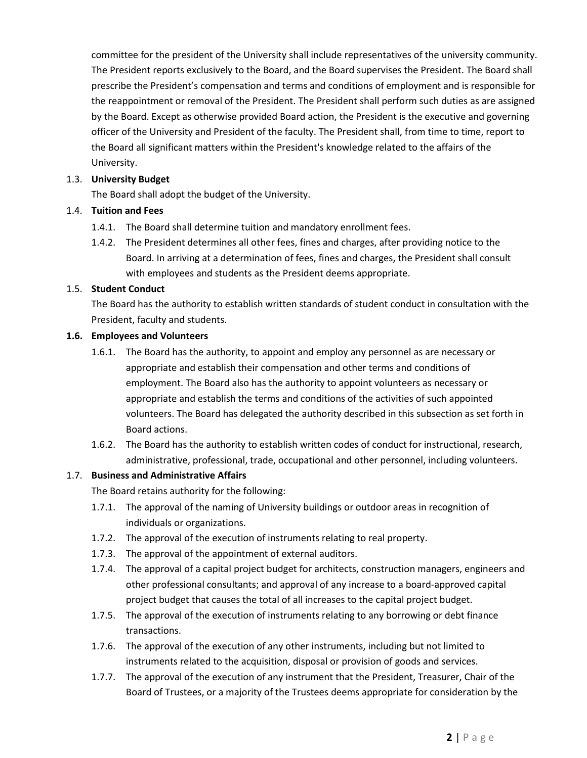committee for the president of the University shall include representatives of the university community. The President reports exclusively to the Board, and the Board supervises the President. The Board shall prescribe the President's compensation and terms and conditions of employment and is responsible for the reappointment or removal of the President. The President shall perform such duties as are assigned by the Board. Except as otherwise provided Board action, the President is the executive and governing officer of the University and President of the faculty. The President shall, from time to time, report to the Board all significant matters within the President's knowledge related to the affairs of the University.

## 1.3. **University Budget**

The Board shall adopt the budget of the University.

## 1.4. **Tuition and Fees**

- 1.4.1. The Board shall determine tuition and mandatory enrollment fees.
- 1.4.2. The President determines all other fees, fines and charges, after providing notice to the Board. In arriving at a determination of fees, fines and charges, the President shall consult with employees and students as the President deems appropriate.

## 1.5. **Student Conduct**

The Board has the authority to establish written standards of student conduct in consultation with the President, faculty and students.

## **1.6. Employees and Volunteers**

- 1.6.1. The Board has the authority, to appoint and employ any personnel as are necessary or appropriate and establish their compensation and other terms and conditions of employment. The Board also has the authority to appoint volunteers as necessary or appropriate and establish the terms and conditions of the activities of such appointed volunteers. The Board has delegated the authority described in this subsection as set forth in Board actions.
- 1.6.2. The Board has the authority to establish written codes of conduct for instructional, research, administrative, professional, trade, occupational and other personnel, including volunteers.

## 1.7. **Business and Administrative Affairs**

The Board retains authority for the following:

- 1.7.1. The approval of the naming of University buildings or outdoor areas in recognition of individuals or organizations.
- 1.7.2. The approval of the execution of instruments relating to real property.
- 1.7.3. The approval of the appointment of external auditors.
- 1.7.4. The approval of a capital project budget for architects, construction managers, engineers and other professional consultants; and approval of any increase to a board‐approved capital project budget that causes the total of all increases to the capital project budget.
- 1.7.5. The approval of the execution of instruments relating to any borrowing or debt finance transactions.
- 1.7.6. The approval of the execution of any other instruments, including but not limited to instruments related to the acquisition, disposal or provision of goods and services.
- 1.7.7. The approval of the execution of any instrument that the President, Treasurer, Chair of the Board of Trustees, or a majority of the Trustees deems appropriate for consideration by the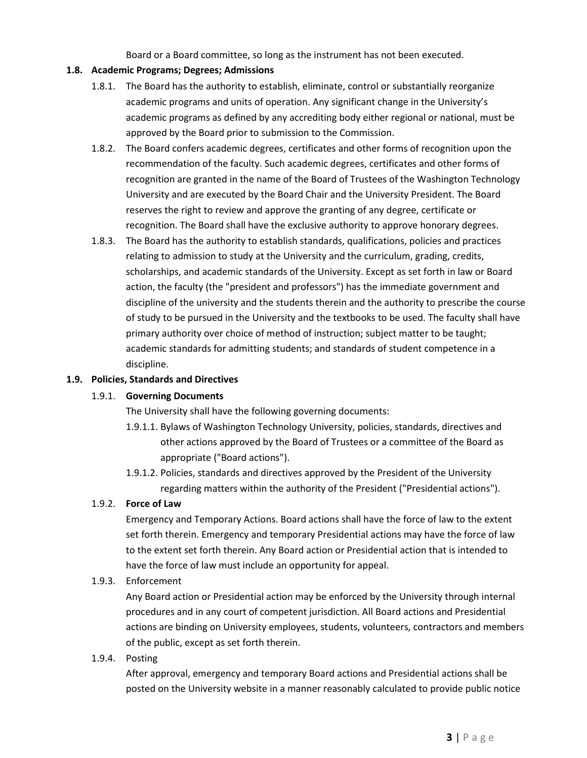Board or a Board committee, so long as the instrument has not been executed.

#### **1.8. Academic Programs; Degrees; Admissions**

- 1.8.1. The Board has the authority to establish, eliminate, control or substantially reorganize academic programs and units of operation. Any significant change in the University's academic programs as defined by any accrediting body either regional or national, must be approved by the Board prior to submission to the Commission.
- 1.8.2. The Board confers academic degrees, certificates and other forms of recognition upon the recommendation of the faculty. Such academic degrees, certificates and other forms of recognition are granted in the name of the Board of Trustees of the Washington Technology University and are executed by the Board Chair and the University President. The Board reserves the right to review and approve the granting of any degree, certificate or recognition. The Board shall have the exclusive authority to approve honorary degrees.
- 1.8.3. The Board has the authority to establish standards, qualifications, policies and practices relating to admission to study at the University and the curriculum, grading, credits, scholarships, and academic standards of the University. Except as set forth in law or Board action, the faculty (the "president and professors") has the immediate government and discipline of the university and the students therein and the authority to prescribe the course of study to be pursued in the University and the textbooks to be used. The faculty shall have primary authority over choice of method of instruction; subject matter to be taught; academic standards for admitting students; and standards of student competence in a discipline.

#### **1.9. Policies, Standards and Directives**

#### 1.9.1. **Governing Documents**

The University shall have the following governing documents:

- 1.9.1.1. Bylaws of Washington Technology University, policies, standards, directives and other actions approved by the Board of Trustees or a committee of the Board as appropriate ("Board actions").
- 1.9.1.2. Policies, standards and directives approved by the President of the University regarding matters within the authority of the President ("Presidential actions").

#### 1.9.2. **Force of Law**

Emergency and Temporary Actions. Board actions shall have the force of law to the extent set forth therein. Emergency and temporary Presidential actions may have the force of law to the extent set forth therein. Any Board action or Presidential action that is intended to have the force of law must include an opportunity for appeal.

1.9.3. Enforcement

Any Board action or Presidential action may be enforced by the University through internal procedures and in any court of competent jurisdiction. All Board actions and Presidential actions are binding on University employees, students, volunteers, contractors and members of the public, except as set forth therein.

1.9.4. Posting

After approval, emergency and temporary Board actions and Presidential actions shall be posted on the University website in a manner reasonably calculated to provide public notice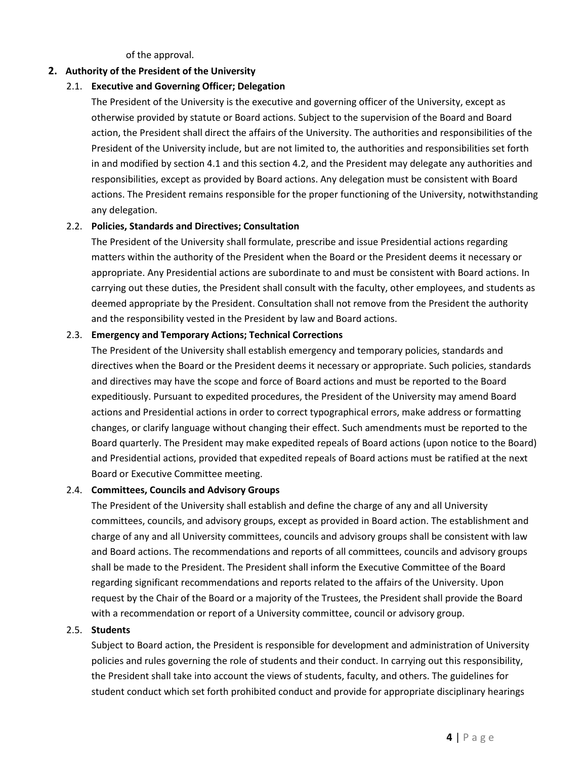of the approval.

#### **2. Authority of the President of the University**

#### 2.1. **Executive and Governing Officer; Delegation**

The President of the University is the executive and governing officer of the University, except as otherwise provided by statute or Board actions. Subject to the supervision of the Board and Board action, the President shall direct the affairs of the University. The authorities and responsibilities of the President of the University include, but are not limited to, the authorities and responsibilities set forth in and modified by section 4.1 and this section 4.2, and the President may delegate any authorities and responsibilities, except as provided by Board actions. Any delegation must be consistent with Board actions. The President remains responsible for the proper functioning of the University, notwithstanding any delegation.

## 2.2. **Policies, Standards and Directives; Consultation**

The President of the University shall formulate, prescribe and issue Presidential actions regarding matters within the authority of the President when the Board or the President deems it necessary or appropriate. Any Presidential actions are subordinate to and must be consistent with Board actions. In carrying out these duties, the President shall consult with the faculty, other employees, and students as deemed appropriate by the President. Consultation shall not remove from the President the authority and the responsibility vested in the President by law and Board actions.

#### 2.3. **Emergency and Temporary Actions; Technical Corrections**

The President of the University shall establish emergency and temporary policies, standards and directives when the Board or the President deems it necessary or appropriate. Such policies, standards and directives may have the scope and force of Board actions and must be reported to the Board expeditiously. Pursuant to expedited procedures, the President of the University may amend Board actions and Presidential actions in order to correct typographical errors, make address or formatting changes, or clarify language without changing their effect. Such amendments must be reported to the Board quarterly. The President may make expedited repeals of Board actions (upon notice to the Board) and Presidential actions, provided that expedited repeals of Board actions must be ratified at the next Board or Executive Committee meeting.

#### 2.4. **Committees, Councils and Advisory Groups**

The President of the University shall establish and define the charge of any and all University committees, councils, and advisory groups, except as provided in Board action. The establishment and charge of any and all University committees, councils and advisory groups shall be consistent with law and Board actions. The recommendations and reports of all committees, councils and advisory groups shall be made to the President. The President shall inform the Executive Committee of the Board regarding significant recommendations and reports related to the affairs of the University. Upon request by the Chair of the Board or a majority of the Trustees, the President shall provide the Board with a recommendation or report of a University committee, council or advisory group.

#### 2.5. **Students**

Subject to Board action, the President is responsible for development and administration of University policies and rules governing the role of students and their conduct. In carrying out this responsibility, the President shall take into account the views of students, faculty, and others. The guidelines for student conduct which set forth prohibited conduct and provide for appropriate disciplinary hearings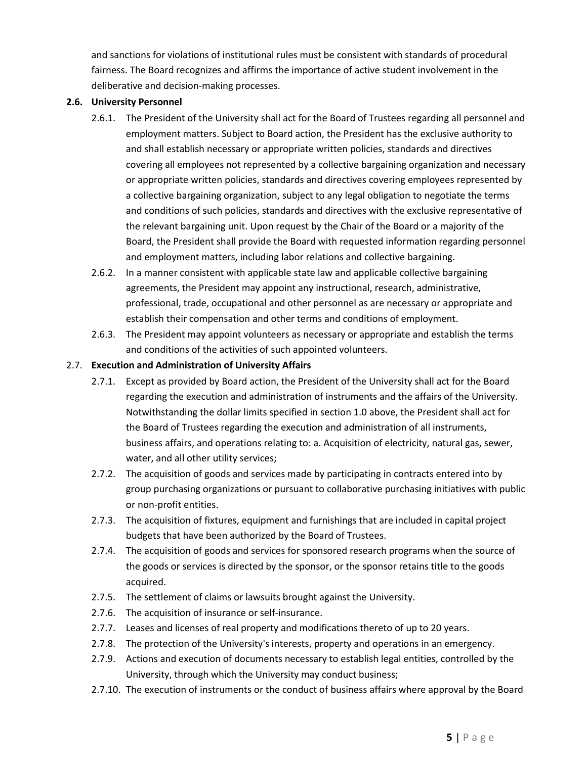and sanctions for violations of institutional rules must be consistent with standards of procedural fairness. The Board recognizes and affirms the importance of active student involvement in the deliberative and decision‐making processes.

#### **2.6. University Personnel**

- 2.6.1. The President of the University shall act for the Board of Trustees regarding all personnel and employment matters. Subject to Board action, the President has the exclusive authority to and shall establish necessary or appropriate written policies, standards and directives covering all employees not represented by a collective bargaining organization and necessary or appropriate written policies, standards and directives covering employees represented by a collective bargaining organization, subject to any legal obligation to negotiate the terms and conditions of such policies, standards and directives with the exclusive representative of the relevant bargaining unit. Upon request by the Chair of the Board or a majority of the Board, the President shall provide the Board with requested information regarding personnel and employment matters, including labor relations and collective bargaining.
- 2.6.2. In a manner consistent with applicable state law and applicable collective bargaining agreements, the President may appoint any instructional, research, administrative, professional, trade, occupational and other personnel as are necessary or appropriate and establish their compensation and other terms and conditions of employment.
- 2.6.3. The President may appoint volunteers as necessary or appropriate and establish the terms and conditions of the activities of such appointed volunteers.

## 2.7. **Execution and Administration of University Affairs**

- 2.7.1. Except as provided by Board action, the President of the University shall act for the Board regarding the execution and administration of instruments and the affairs of the University. Notwithstanding the dollar limits specified in section 1.0 above, the President shall act for the Board of Trustees regarding the execution and administration of all instruments, business affairs, and operations relating to: a. Acquisition of electricity, natural gas, sewer, water, and all other utility services;
- 2.7.2. The acquisition of goods and services made by participating in contracts entered into by group purchasing organizations or pursuant to collaborative purchasing initiatives with public or non‐profit entities.
- 2.7.3. The acquisition of fixtures, equipment and furnishings that are included in capital project budgets that have been authorized by the Board of Trustees.
- 2.7.4. The acquisition of goods and services for sponsored research programs when the source of the goods or services is directed by the sponsor, or the sponsor retains title to the goods acquired.
- 2.7.5. The settlement of claims or lawsuits brought against the University.
- 2.7.6. The acquisition of insurance or self-insurance.
- 2.7.7. Leases and licenses of real property and modifications thereto of up to 20 years.
- 2.7.8. The protection of the University's interests, property and operations in an emergency.
- 2.7.9. Actions and execution of documents necessary to establish legal entities, controlled by the University, through which the University may conduct business;
- 2.7.10. The execution of instruments or the conduct of business affairs where approval by the Board